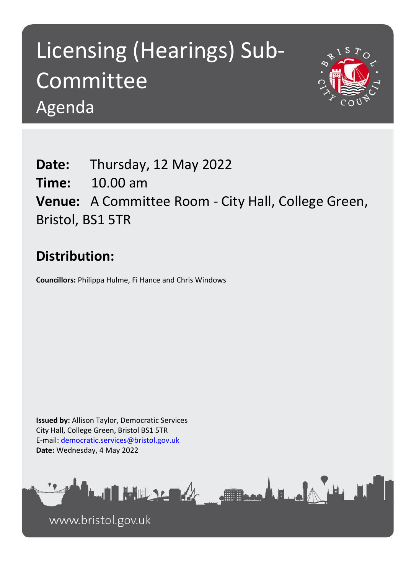## Licensing (Hearings) Sub-Committee Agenda



**Date:** Thursday, 12 May 2022 **Time:** 10.00 am **Venue:** A Committee Room - City Hall, College Green, Bristol, BS1 5TR

## **Distribution:**

**Councillors:** Philippa Hulme, Fi Hance and Chris Windows

**Issued by:** Allison Taylor, Democratic Services City Hall, College Green, Bristol BS1 5TR E-mail: [democratic.services@bristol.gov.uk](mailto:democratic.services@bristol.gov.uk) **Date:** Wednesday, 4 May 2022



www.bristol.gov.uk